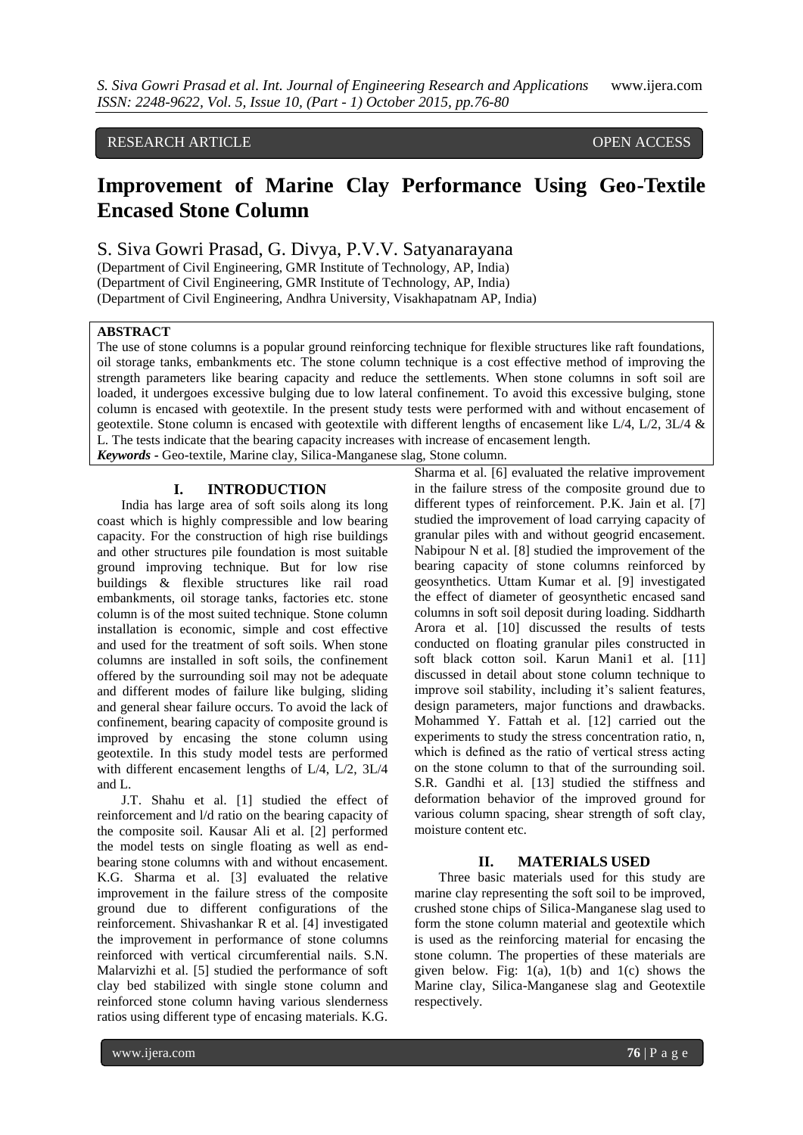# RESEARCH ARTICLE **CONFIDENTIAL CONSUMING THE OPEN ACCESS**

# **Improvement of Marine Clay Performance Using Geo-Textile Encased Stone Column**

## S. Siva Gowri Prasad, G. Divya, P.V.V. Satyanarayana

(Department of Civil Engineering, GMR Institute of Technology, AP, India) (Department of Civil Engineering, GMR Institute of Technology, AP, India) (Department of Civil Engineering, Andhra University, Visakhapatnam AP, India)

#### **ABSTRACT**

The use of stone columns is a popular ground reinforcing technique for flexible structures like raft foundations, oil storage tanks, embankments etc. The stone column technique is a cost effective method of improving the strength parameters like bearing capacity and reduce the settlements. When stone columns in soft soil are loaded, it undergoes excessive bulging due to low lateral confinement. To avoid this excessive bulging, stone column is encased with geotextile. In the present study tests were performed with and without encasement of geotextile. Stone column is encased with geotextile with different lengths of encasement like  $L/4$ ,  $L/2$ ,  $3L/4$  & L. The tests indicate that the bearing capacity increases with increase of encasement length. *Keywords* **-** Geo-textile, Marine clay, Silica-Manganese slag, Stone column.

# **I. INTRODUCTION**

India has large area of soft soils along its long coast which is highly compressible and low bearing capacity. For the construction of high rise buildings and other structures pile foundation is most suitable ground improving technique. But for low rise buildings & flexible structures like rail road embankments, oil storage tanks, factories etc. stone column is of the most suited technique. Stone column installation is economic, simple and cost effective and used for the treatment of soft soils. When stone columns are installed in soft soils, the confinement offered by the surrounding soil may not be adequate and different modes of failure like bulging, sliding and general shear failure occurs. To avoid the lack of confinement, bearing capacity of composite ground is improved by encasing the stone column using geotextile. In this study model tests are performed with different encasement lengths of L/4, L/2, 3L/4 and L.

J.T. Shahu et al. [1] studied the effect of reinforcement and l/d ratio on the bearing capacity of the composite soil. Kausar Ali et al. [2] performed the model tests on single floating as well as endbearing stone columns with and without encasement. K.G. Sharma et al. [3] evaluated the relative improvement in the failure stress of the composite ground due to different configurations of the reinforcement. Shivashankar R et al. [4] investigated the improvement in performance of stone columns reinforced with vertical circumferential nails. S.N. Malarvizhi et al. [5] studied the performance of soft clay bed stabilized with single stone column and reinforced stone column having various slenderness ratios using different type of encasing materials. K.G.

Sharma et al. [6] evaluated the relative improvement in the failure stress of the composite ground due to different types of reinforcement. P.K. Jain et al. [7] studied the improvement of load carrying capacity of granular piles with and without geogrid encasement. Nabipour N et al. [8] studied the improvement of the bearing capacity of stone columns reinforced by geosynthetics. Uttam Kumar et al. [9] investigated the effect of diameter of geosynthetic encased sand columns in soft soil deposit during loading. Siddharth Arora et al. [10] discussed the results of tests conducted on floating granular piles constructed in soft black cotton soil. Karun Mani1 et al. [11] discussed in detail about stone column technique to improve soil stability, including it's salient features, design parameters, major functions and drawbacks. Mohammed Y. Fattah et al. [12] carried out the experiments to study the stress concentration ratio, n, which is defined as the ratio of vertical stress acting on the stone column to that of the surrounding soil. S.R. Gandhi et al. [13] studied the stiffness and deformation behavior of the improved ground for various column spacing, shear strength of soft clay, moisture content etc.

#### **II. MATERIALS USED**

Three basic materials used for this study are marine clay representing the soft soil to be improved, crushed stone chips of Silica-Manganese slag used to form the stone column material and geotextile which is used as the reinforcing material for encasing the stone column. The properties of these materials are given below. Fig:  $1(a)$ ,  $1(b)$  and  $1(c)$  shows the Marine clay, Silica-Manganese slag and Geotextile respectively.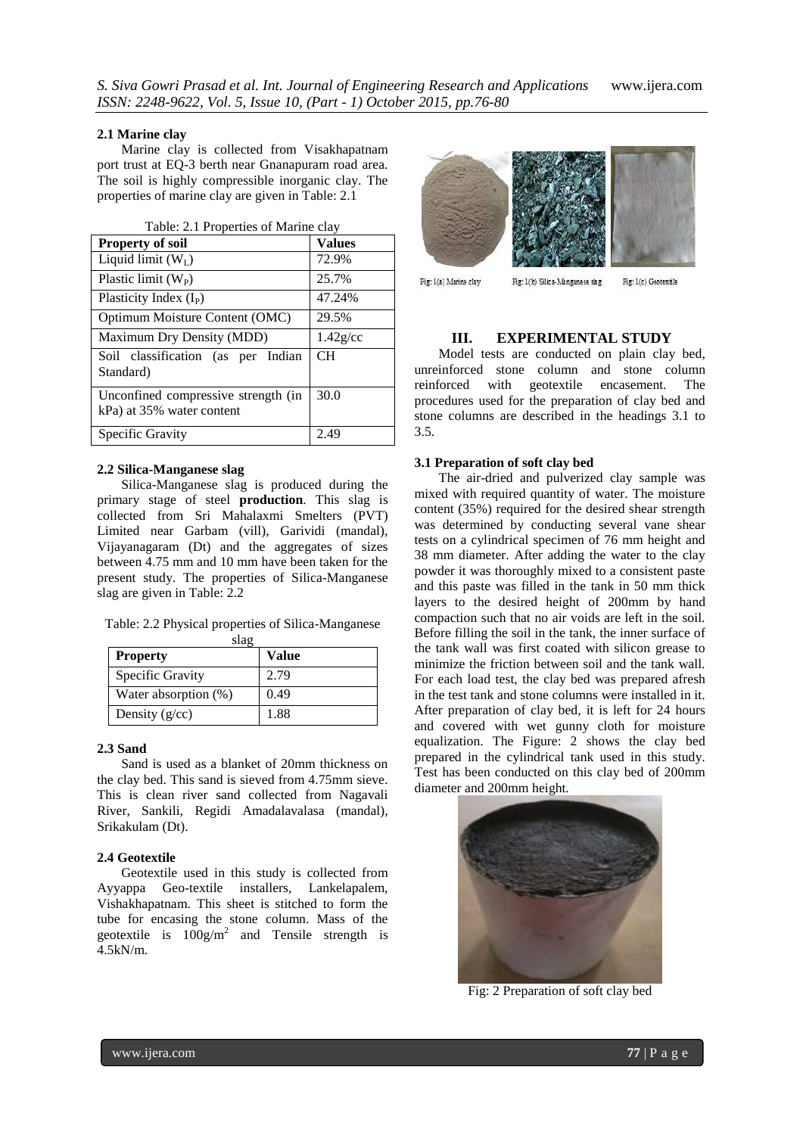#### **2.1 Marine clay**

Marine clay is collected from Visakhapatnam port trust at EQ-3 berth near Gnanapuram road area. The soil is highly compressible inorganic clay. The properties of marine clay are given in Table: 2.1

| Table: 2.1 Properties of Marine clay                             |               |  |  |
|------------------------------------------------------------------|---------------|--|--|
| <b>Property of soil</b>                                          | <b>Values</b> |  |  |
| Liquid limit $(W_I)$                                             | 72.9%         |  |  |
| Plastic limit $(W_P)$                                            | 25.7%         |  |  |
| Plasticity Index $(I_P)$                                         | 47.24%        |  |  |
| Optimum Moisture Content (OMC)                                   | 29.5%         |  |  |
| Maximum Dry Density (MDD)                                        | $1.42$ g/cc   |  |  |
| Soil classification (as per Indian<br>Standard)                  | CH            |  |  |
| Unconfined compressive strength (in<br>kPa) at 35% water content | 30.0          |  |  |
| Specific Gravity                                                 | 2.49          |  |  |

#### **2.2 Silica-Manganese slag**

Silica-Manganese slag is produced during the primary stage of steel **production**. This slag is collected from Sri Mahalaxmi Smelters (PVT) Limited near Garbam (vill), Garividi (mandal), Vijayanagaram (Dt) and the aggregates of sizes between 4.75 mm and 10 mm have been taken for the present study. The properties of Silica-Manganese slag are given in Table: 2.2

|  | Table: 2.2 Physical properties of Silica-Manganese |
|--|----------------------------------------------------|
|  |                                                    |

| мач<br><b>Property</b> | Value |
|------------------------|-------|
| Specific Gravity       | 2.79  |
| Water absorption (%)   | 0.49  |
| Density $(g/cc)$       | 1.88  |

#### **2.3 Sand**

Sand is used as a blanket of 20mm thickness on the clay bed. This sand is sieved from 4.75mm sieve. This is clean river sand collected from Nagavali River, Sankili, Regidi Amadalavalasa (mandal), Srikakulam (Dt).

#### **2.4 Geotextile**

Geotextile used in this study is collected from Ayyappa Geo-textile installers, Lankelapalem, Vishakhapatnam. This sheet is stitched to form the tube for encasing the stone column. Mass of the geotextile is  $100g/m^2$  and Tensile strength is 4.5kN/m.



Fig: 1(a) Marine clay Fig: 1(b) Silica-Manganese slag

Fig: 1(c) Geotextile

#### **III. EXPERIMENTAL STUDY**

Model tests are conducted on plain clay bed, unreinforced stone column and stone column reinforced with geotextile encasement. The procedures used for the preparation of clay bed and stone columns are described in the headings 3.1 to 3.5.

#### **3.1 Preparation of soft clay bed**

The air-dried and pulverized clay sample was mixed with required quantity of water. The moisture content (35%) required for the desired shear strength was determined by conducting several vane shear tests on a cylindrical specimen of 76 mm height and 38 mm diameter. After adding the water to the clay powder it was thoroughly mixed to a consistent paste and this paste was filled in the tank in 50 mm thick layers to the desired height of 200mm by hand compaction such that no air voids are left in the soil. Before filling the soil in the tank, the inner surface of the tank wall was first coated with silicon grease to minimize the friction between soil and the tank wall. For each load test, the clay bed was prepared afresh in the test tank and stone columns were installed in it. After preparation of clay bed, it is left for 24 hours and covered with wet gunny cloth for moisture equalization. The Figure: 2 shows the clay bed prepared in the cylindrical tank used in this study. Test has been conducted on this clay bed of 200mm diameter and 200mm height.



Fig: 2 Preparation of soft clay bed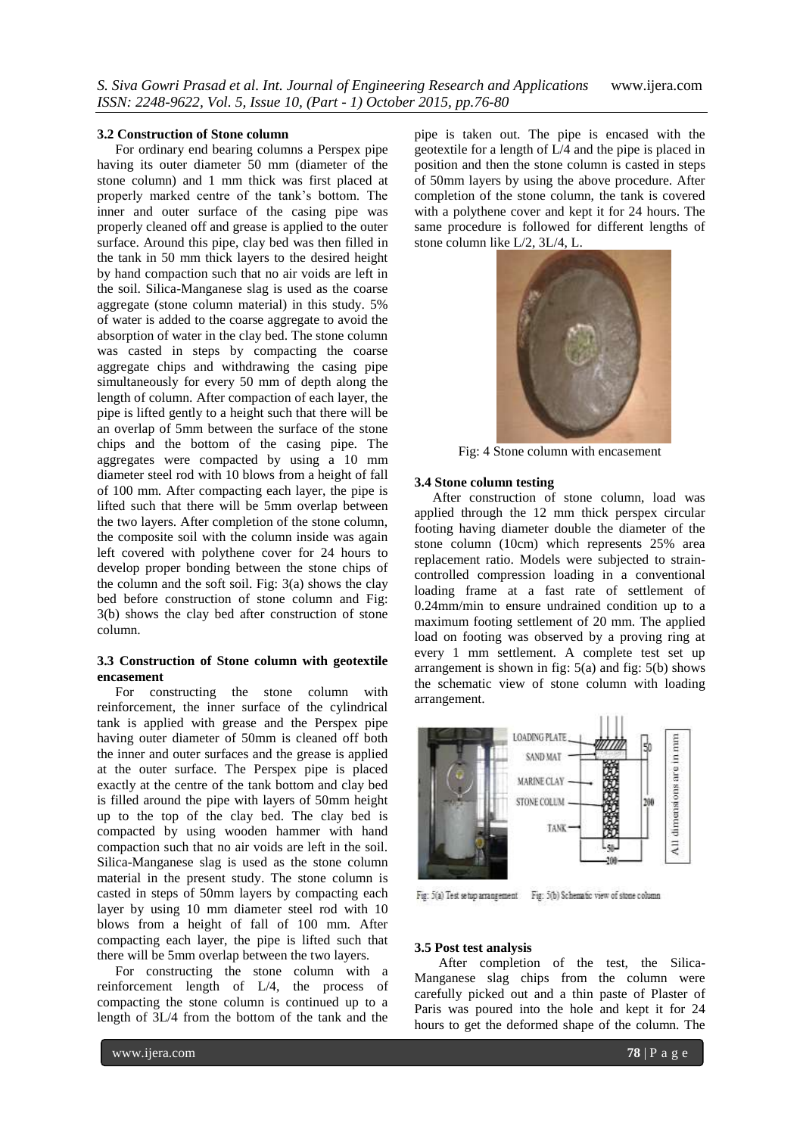#### **3.2 Construction of Stone column**

For ordinary end bearing columns a Perspex pipe having its outer diameter 50 mm (diameter of the stone column) and 1 mm thick was first placed at properly marked centre of the tank's bottom. The inner and outer surface of the casing pipe was properly cleaned off and grease is applied to the outer surface. Around this pipe, clay bed was then filled in the tank in 50 mm thick layers to the desired height by hand compaction such that no air voids are left in the soil. Silica-Manganese slag is used as the coarse aggregate (stone column material) in this study. 5% of water is added to the coarse aggregate to avoid the absorption of water in the clay bed. The stone column was casted in steps by compacting the coarse aggregate chips and withdrawing the casing pipe simultaneously for every 50 mm of depth along the length of column. After compaction of each layer, the pipe is lifted gently to a height such that there will be an overlap of 5mm between the surface of the stone chips and the bottom of the casing pipe. The aggregates were compacted by using a 10 mm diameter steel rod with 10 blows from a height of fall of 100 mm. After compacting each layer, the pipe is lifted such that there will be 5mm overlap between the two layers. After completion of the stone column, the composite soil with the column inside was again left covered with polythene cover for 24 hours to develop proper bonding between the stone chips of the column and the soft soil. Fig: 3(a) shows the clay bed before construction of stone column and Fig: 3(b) shows the clay bed after construction of stone column.

### **3.3 Construction of Stone column with geotextile encasement**

For constructing the stone column with reinforcement, the inner surface of the cylindrical tank is applied with grease and the Perspex pipe having outer diameter of 50mm is cleaned off both the inner and outer surfaces and the grease is applied at the outer surface. The Perspex pipe is placed exactly at the centre of the tank bottom and clay bed is filled around the pipe with layers of 50mm height up to the top of the clay bed. The clay bed is compacted by using wooden hammer with hand compaction such that no air voids are left in the soil. Silica-Manganese slag is used as the stone column material in the present study. The stone column is casted in steps of 50mm layers by compacting each layer by using 10 mm diameter steel rod with 10 blows from a height of fall of 100 mm. After compacting each layer, the pipe is lifted such that there will be 5mm overlap between the two layers.

For constructing the stone column with a reinforcement length of L/4, the process of compacting the stone column is continued up to a length of 3L/4 from the bottom of the tank and the

pipe is taken out. The pipe is encased with the geotextile for a length of L/4 and the pipe is placed in position and then the stone column is casted in steps of 50mm layers by using the above procedure. After completion of the stone column, the tank is covered with a polythene cover and kept it for 24 hours. The same procedure is followed for different lengths of stone column like L/2, 3L/4, L.



Fig: 4 Stone column with encasement

#### **3.4 Stone column testing**

After construction of stone column, load was applied through the 12 mm thick perspex circular footing having diameter double the diameter of the stone column (10cm) which represents 25% area replacement ratio. Models were subjected to straincontrolled compression loading in a conventional loading frame at a fast rate of settlement of 0.24mm/min to ensure undrained condition up to a maximum footing settlement of 20 mm. The applied load on footing was observed by a proving ring at every 1 mm settlement. A complete test set up arrangement is shown in fig: 5(a) and fig: 5(b) shows the schematic view of stone column with loading arrangement.



Fig: 5(a) Test setup arrangement Fig: 5(b) Schematic view of stone column

#### **3.5 Post test analysis**

After completion of the test, the Silica-Manganese slag chips from the column were carefully picked out and a thin paste of Plaster of Paris was poured into the hole and kept it for 24 hours to get the deformed shape of the column. The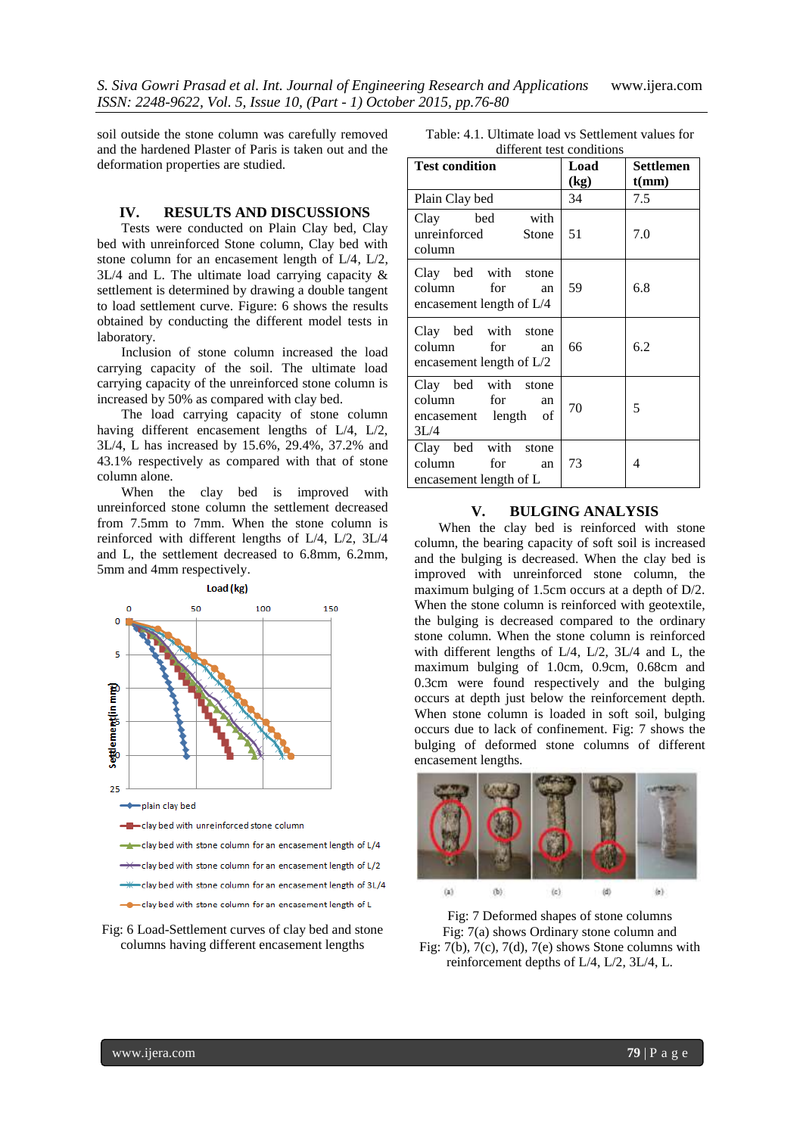soil outside the stone column was carefully removed and the hardened Plaster of Paris is taken out and the deformation properties are studied.

#### **IV. RESULTS AND DISCUSSIONS**

Tests were conducted on Plain Clay bed, Clay bed with unreinforced Stone column, Clay bed with stone column for an encasement length of L/4, L/2, 3L/4 and L. The ultimate load carrying capacity & settlement is determined by drawing a double tangent to load settlement curve. Figure: 6 shows the results obtained by conducting the different model tests in laboratory.

Inclusion of stone column increased the load carrying capacity of the soil. The ultimate load carrying capacity of the unreinforced stone column is increased by 50% as compared with clay bed.

The load carrying capacity of stone column having different encasement lengths of L/4, L/2, 3L/4, L has increased by 15.6%, 29.4%, 37.2% and 43.1% respectively as compared with that of stone column alone.

When the clay bed is improved with unreinforced stone column the settlement decreased from 7.5mm to 7mm. When the stone column is reinforced with different lengths of L/4, L/2, 3L/4 and L, the settlement decreased to 6.8mm, 6.2mm, 5mm and 4mm respectively.



Fig: 6 Load-Settlement curves of clay bed and stone columns having different encasement lengths

| Table: 4.1. Ultimate load vs Settlement values for |  |
|----------------------------------------------------|--|
| different test conditions                          |  |

| unierent test conditions                                                   |      |                  |  |  |  |
|----------------------------------------------------------------------------|------|------------------|--|--|--|
| <b>Test condition</b>                                                      | Load | <b>Settlemen</b> |  |  |  |
|                                                                            | (kg) | t(mm)            |  |  |  |
| Plain Clay bed                                                             | 34   | 7.5              |  |  |  |
| Clay bed with<br>unreinforced Stone<br>column                              | 51   | 7.0              |  |  |  |
| Clay bed with stone<br>column for<br>an<br>encasement length of L/4        | 59   | 6.8              |  |  |  |
| Clay bed with stone<br>column for<br>an<br>encasement length of $L/2$      | 66   | 6.2              |  |  |  |
| Clay bed with stone<br>column for<br>an<br>of<br>encasement length<br>3L/4 | 70   | 5                |  |  |  |
| Clay bed with stone<br>column for<br>an<br>encasement length of L          | 73   | 4                |  |  |  |

### **V. BULGING ANALYSIS**

When the clay bed is reinforced with stone column, the bearing capacity of soft soil is increased and the bulging is decreased. When the clay bed is improved with unreinforced stone column, the maximum bulging of 1.5cm occurs at a depth of D/2. When the stone column is reinforced with geotextile, the bulging is decreased compared to the ordinary stone column. When the stone column is reinforced with different lengths of L/4, L/2, 3L/4 and L, the maximum bulging of 1.0cm, 0.9cm, 0.68cm and 0.3cm were found respectively and the bulging occurs at depth just below the reinforcement depth. When stone column is loaded in soft soil, bulging occurs due to lack of confinement. Fig: 7 shows the bulging of deformed stone columns of different encasement lengths.